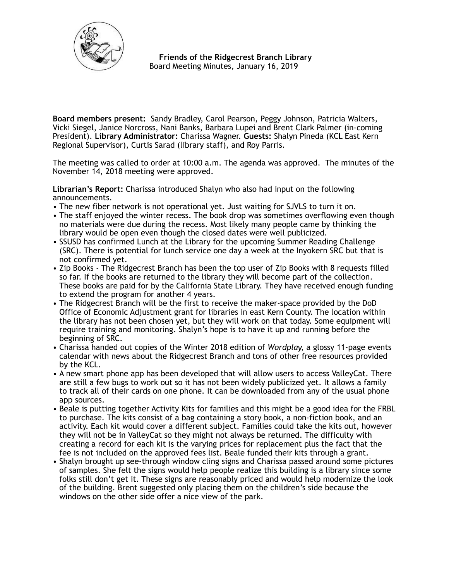

 **Friends of the Ridgecrest Branch Library**  Board Meeting Minutes, January 16, 2019

**Board members present:** Sandy Bradley, Carol Pearson, Peggy Johnson, Patricia Walters, Vicki Siegel, Janice Norcross, Nani Banks, Barbara Lupei and Brent Clark Palmer (in-coming President). **Library Administrator:** Charissa Wagner. **Guests:** Shalyn Pineda (KCL East Kern Regional Supervisor), Curtis Sarad (library staff), and Roy Parris.

The meeting was called to order at 10:00 a.m. The agenda was approved. The minutes of the November 14, 2018 meeting were approved.

**Librarian's Report:** Charissa introduced Shalyn who also had input on the following announcements.

- The new fiber network is not operational yet. Just waiting for SJVLS to turn it on.
- The staff enjoyed the winter recess. The book drop was sometimes overflowing even though no materials were due during the recess. Most likely many people came by thinking the library would be open even though the closed dates were well publicized.
- SSUSD has confirmed Lunch at the Library for the upcoming Summer Reading Challenge (SRC). There is potential for lunch service one day a week at the Inyokern SRC but that is not confirmed yet.
- Zip Books The Ridgecrest Branch has been the top user of Zip Books with 8 requests filled so far. If the books are returned to the library they will become part of the collection. These books are paid for by the California State Library. They have received enough funding to extend the program for another 4 years.
- The Ridgecrest Branch will be the first to receive the maker-space provided by the DoD Office of Economic Adjustment grant for libraries in east Kern County. The location within the library has not been chosen yet, but they will work on that today. Some equipment will require training and monitoring. Shalyn's hope is to have it up and running before the beginning of SRC.
- Charissa handed out copies of the Winter 2018 edition of *Wordplay,* a glossy 11-page events calendar with news about the Ridgecrest Branch and tons of other free resources provided by the KCL.
- A new smart phone app has been developed that will allow users to access ValleyCat. There are still a few bugs to work out so it has not been widely publicized yet. It allows a family to track all of their cards on one phone. It can be downloaded from any of the usual phone app sources.
- Beale is putting together Activity Kits for families and this might be a good idea for the FRBL to purchase. The kits consist of a bag containing a story book, a non-fiction book, and an activity. Each kit would cover a different subject. Families could take the kits out, however they will not be in ValleyCat so they might not always be returned. The difficulty with creating a record for each kit is the varying prices for replacement plus the fact that the fee is not included on the approved fees list. Beale funded their kits through a grant.
- Shalyn brought up see-through window cling signs and Charissa passed around some pictures of samples. She felt the signs would help people realize this building is a library since some folks still don't get it. These signs are reasonably priced and would help modernize the look of the building. Brent suggested only placing them on the children's side because the windows on the other side offer a nice view of the park.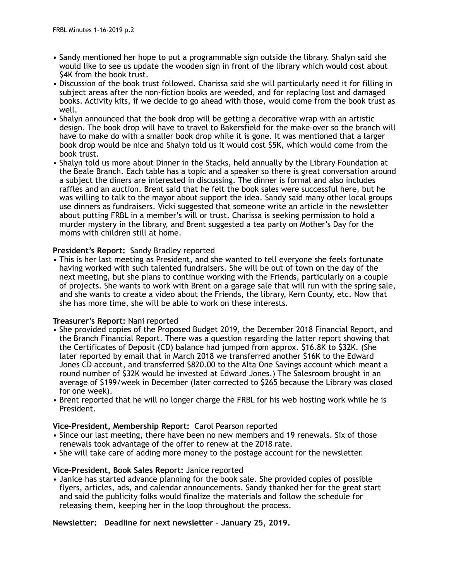- Sandy mentioned her hope to put a programmable sign outside the library. Shalyn said she would like to see us update the wooden sign in front of the library which would cost about \$4K from the book trust.
- Discussion of the book trust followed. Charissa said she will particularly need it for filling in subject areas after the non-fiction books are weeded, and for replacing lost and damaged books. Activity kits, if we decide to go ahead with those, would come from the book trust as well.
- Shalyn announced that the book drop will be getting a decorative wrap with an artistic design. The book drop will have to travel to Bakersfield for the make-over so the branch will have to make do with a smaller book drop while it is gone. It was mentioned that a larger book drop would be nice and Shalyn told us it would cost \$5K, which would come from the book trust.
- Shalyn told us more about Dinner in the Stacks, held annually by the Library Foundation at the Beale Branch. Each table has a topic and a speaker so there is great conversation around a subject the diners are interested in discussing. The dinner is formal and also includes raffles and an auction. Brent said that he felt the book sales were successful here, but he was willing to talk to the mayor about support the idea. Sandy said many other local groups use dinners as fundraisers. Vicki suggested that someone write an article in the newsletter about putting FRBL in a member's will or trust. Charissa is seeking permission to hold a murder mystery in the library, and Brent suggested a tea party on Mother's Day for the moms with children still at home.

# **President's Report:** Sandy Bradley reported

• This is her last meeting as President, and she wanted to tell everyone she feels fortunate having worked with such talented fundraisers. She will be out of town on the day of the next meeting, but she plans to continue working with the Friends, particularly on a couple of projects. She wants to work with Brent on a garage sale that will run with the spring sale, and she wants to create a video about the Friends, the library, Kern County, etc. Now that she has more time, she will be able to work on these interests.

# **Treasurer's Report:** Nani reported

- She provided copies of the Proposed Budget 2019, the December 2018 Financial Report, and the Branch Financial Report. There was a question regarding the latter report showing that the Certificates of Deposit (CD) balance had jumped from approx. \$16.8K to \$32K. (She later reported by email that in March 2018 we transferred another \$16K to the Edward Jones CD account, and transferred \$820.00 to the Alta One Savings account which meant a round number of \$32K would be invested at Edward Jones.) The Salesroom brought in an average of \$199/week in December (later corrected to \$265 because the Library was closed for one week).
- Brent reported that he will no longer charge the FRBL for his web hosting work while he is President.

# **Vice-President, Membership Report:** Carol Pearson reported

- Since our last meeting, there have been no new members and 19 renewals. Six of those renewals took advantage of the offer to renew at the 2018 rate.
- She will take care of adding more money to the postage account for the newsletter.

# **Vice-President, Book Sales Report:** Janice reported

• Janice has started advance planning for the book sale. She provided copies of possible flyers, articles, ads, and calendar announcements. Sandy thanked her for the great start and said the publicity folks would finalize the materials and follow the schedule for releasing them, keeping her in the loop throughout the process.

# **Newsletter: Deadline for next newsletter – January 25, 2019.**